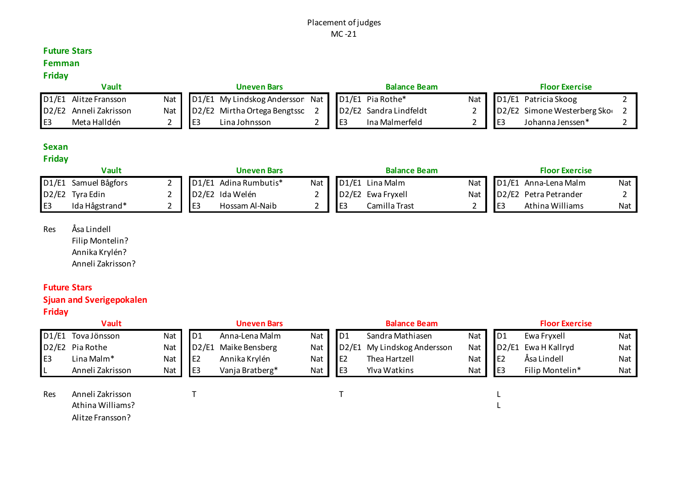#### Placement of judges MC -21

## **Future Stars**

#### **Femman Friday**

| Vault |                                                 |  | Uneven Bars |                                                               |  | <b>Balance Beam</b> |                |     | <b>Floor Exercise</b> |                             |  |
|-------|-------------------------------------------------|--|-------------|---------------------------------------------------------------|--|---------------------|----------------|-----|-----------------------|-----------------------------|--|
|       | D1/E1 Alitze Fransson                           |  |             | Nat   D1/E1 My Lindskog Andersson Nat   D1/E1 Pia Rothe*      |  |                     |                | Nat |                       | D1/E1 Patricia Skoog        |  |
|       | D <sub>2</sub> /E <sub>2</sub> Anneli Zakrisson |  |             | Nat   D2/E2 Mirtha Ortega Bengtssc 2   D2/E2 Sandra Lindfeldt |  |                     |                |     |                       | D2/E2 Simone Westerberg Sko |  |
| l E3  | Meta Halldén                                    |  |             | Lina Johnsson                                                 |  |                     | Ina Malmerfeld |     |                       | Johanna Jenssen*            |  |

# **Sexan**

# **Friday**

|      | Vault                                    |       | Uneven Bars                              |     | <b>Balance Beam</b>                        |     |                | <b>Floor Exercise</b> |     |
|------|------------------------------------------|-------|------------------------------------------|-----|--------------------------------------------|-----|----------------|-----------------------|-----|
|      | D1/E1 Samuel Bågfors                     | D1/E1 | . Adina Rumbutis*                        | Nat | $D1/E1$ Lina Malm                          | Nat |                | D1/E1 Anna-Lena Malm  | Nat |
|      | D <sub>2</sub> /E <sub>2</sub> Tyra Edin |       | D <sub>2</sub> /E <sub>2</sub> Ida Welén |     | D <sub>2</sub> /E <sub>2</sub> Ewa Fryxell | Nat |                | D2/E2 Petra Petrander |     |
| l E3 | Ida Hågstrand*                           |       | Hossam Al-Naib                           |     | Camilla Trast                              |     | E <sub>3</sub> | Athina Williams       | Nat |

## Res Åsa Lindell

Filip Montelin? Annika Krylén? Anneli Zakrisson?

# **Future Stars**

### **Sjuan and Sverigepokalen Friday**

|                | <b>Vault</b>                             |            |                | <b>Uneven Bars</b> |            |                | <b>Balance Beam</b>   |            |                | <b>Floor Exercise</b> |     |
|----------------|------------------------------------------|------------|----------------|--------------------|------------|----------------|-----------------------|------------|----------------|-----------------------|-----|
|                | D1/E1 Tova Jönsson                       | <b>Nat</b> | D <sub>1</sub> | Anna-Lena Malm     | Nat        | D <sub>1</sub> | Sandra Mathiasen      | Nat        | D1             | Ewa Fryxell           | Nat |
|                | D <sub>2</sub> /E <sub>2</sub> Pia Rothe | Nat        | D2/E1          | Maike Bensberg     | <b>Nat</b> | D2/E1          | My Lindskog Andersson | Nat        | D2/E1          | Ewa H Kallryd         | Nat |
| E <sub>3</sub> | Lina Malm <sup>*</sup>                   | Nat        | E <sub>2</sub> | Annika Krylén      | Nat        | E <sub>2</sub> | Thea Hartzell         | Nat        | E <sub>2</sub> | Åsa Lindell           | Nat |
|                | Anneli Zakrisson                         | Nat        | E3             | Vanja Bratberg*    | Nat        | E <sub>3</sub> | Ylva Watkins          | <b>Nat</b> | E <sub>3</sub> | Filip Montelin*       | Nat |
| Res            | Anneli Zakrisson<br>Athina Williams?     |            |                |                    |            |                |                       |            |                |                       |     |

Alitze Fransson?